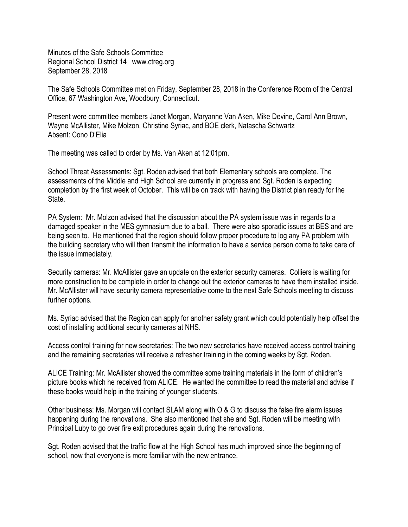Minutes of the Safe Schools Committee Regional School District 14 www.ctreg.org September 28, 2018

The Safe Schools Committee met on Friday, September 28, 2018 in the Conference Room of the Central Office, 67 Washington Ave, Woodbury, Connecticut.

Present were committee members Janet Morgan, Maryanne Van Aken, Mike Devine, Carol Ann Brown, Wayne McAllister, Mike Molzon, Christine Syriac, and BOE clerk, Natascha Schwartz Absent: Cono D'Elia

The meeting was called to order by Ms. Van Aken at 12:01pm.

School Threat Assessments: Sgt. Roden advised that both Elementary schools are complete. The assessments of the Middle and High School are currently in progress and Sgt. Roden is expecting completion by the first week of October. This will be on track with having the District plan ready for the **State** 

PA System: Mr. Molzon advised that the discussion about the PA system issue was in regards to a damaged speaker in the MES gymnasium due to a ball. There were also sporadic issues at BES and are being seen to. He mentioned that the region should follow proper procedure to log any PA problem with the building secretary who will then transmit the information to have a service person come to take care of the issue immediately.

Security cameras: Mr. McAllister gave an update on the exterior security cameras. Colliers is waiting for more construction to be complete in order to change out the exterior cameras to have them installed inside. Mr. McAllister will have security camera representative come to the next Safe Schools meeting to discuss further options.

Ms. Syriac advised that the Region can apply for another safety grant which could potentially help offset the cost of installing additional security cameras at NHS.

Access control training for new secretaries: The two new secretaries have received access control training and the remaining secretaries will receive a refresher training in the coming weeks by Sgt. Roden.

ALICE Training: Mr. McAllister showed the committee some training materials in the form of children's picture books which he received from ALICE. He wanted the committee to read the material and advise if these books would help in the training of younger students.

Other business: Ms. Morgan will contact SLAM along with O & G to discuss the false fire alarm issues happening during the renovations. She also mentioned that she and Sgt. Roden will be meeting with Principal Luby to go over fire exit procedures again during the renovations.

Sgt. Roden advised that the traffic flow at the High School has much improved since the beginning of school, now that everyone is more familiar with the new entrance.